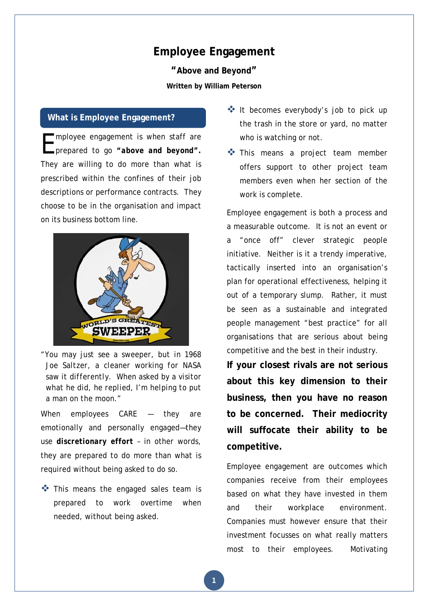# **Employee Engagement**

**"Above and Beyond" Written by William Peterson** 

#### **What is Employee Engagement?**

mployee engagement is when staff are **E** mployee engagement is when staff are<br>
prepared to go "above and beyond". They are willing to do more than what is prescribed within the confines of their job descriptions or performance contracts. They choose to be in the organisation and impact on its business bottom line.



"*You may just see a sweeper, but in 1968 Joe Saltzer, a cleaner working for NASA saw it differently. When asked by a visitor what he did, he replied, I'm helping to put a man on the moon.*"

When employees CARE — they are emotionally and personally engaged—they use *discretionary effort –* in other words, they are prepared to do more than what is required without being asked to do so.

 $\clubsuit$  This means the engaged sales team is prepared to work overtime when needed, without being asked.

- It becomes everybody's job to pick up the trash in the store or yard, no matter who is watching or not.
- This means a project team member offers support to other project team members even when her section of the work is complete.

Employee engagement is both a process and a measurable outcome. It is not an event or a "once off" clever strategic people initiative. Neither is it a trendy imperative, tactically inserted into an organisation's plan for operational effectiveness, helping it out of a temporary slump. Rather, it must be seen as a sustainable and integrated people management "best practice" for all organisations that are serious about being competitive and the best in their industry.

**If your closest rivals are not serious about this key dimension to their business, then you have no reason to be concerned. Their mediocrity will suffocate their ability to be competitive.**

Employee engagement are outcomes which companies receive from their employees based on what they have invested in them and their workplace environment. Companies must however ensure that their investment focusses on what really matters most to their employees. Motivating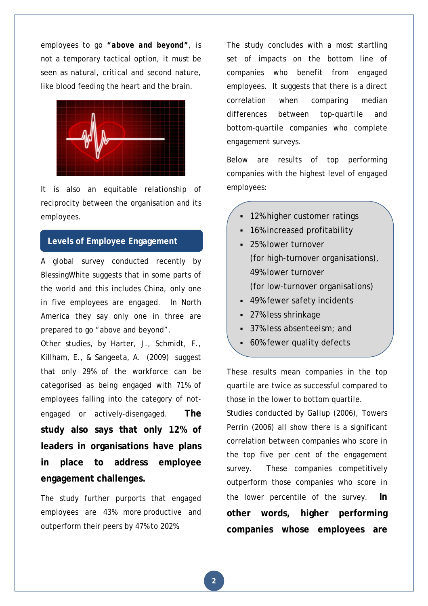employees to go *"above and beyond"*, is not a temporary tactical option, it must be seen as natural, critical and second nature, like blood feeding the heart and the brain.



It is also an equitable relationship of reciprocity between the organisation and its employees.

# **Levels of Employee Engagement**

A global survey conducted recently by BlessingWhite suggests that in some parts of the world and this includes China, only one in five employees are engaged. In North America they say only one in three are prepared to go "above and beyond".

Other studies, by Harter, J., Schmidt, F., Killham, E., & Sangeeta, A. (2009) suggest that only 29% of the workforce can be categorised as being engaged with 71% of employees falling into the category of notengaged or actively-disengaged. **The study also says that only 12% of leaders in organisations have plans in place to address employee engagement challenges.** 

The study further purports that engaged employees are 43% more productive and outperform their peers by 47% to 202%.

The study concludes with a most startling set of impacts on the bottom line of companies who benefit from engaged employees. It suggests that there is a direct correlation when comparing median differences between top-quartile and bottom-quartile companies who complete engagement surveys.

Below are results of top performing companies with the highest level of engaged employees:

- 12% higher customer ratings
- 16% increased profitability
- **25% lower turnover** (for high-turnover organisations), 49% lower turnover (for low-turnover organisations)
- 49% fewer safety incidents
- 27% less shrinkage
- 37% less absenteeism; and
- 60% fewer quality defects

These results mean companies in the top quartile are twice as successful compared to those in the lower to bottom quartile.

Studies conducted by Gallup (2006), Towers Perrin (2006) all show there is a significant correlation between companies who score in the top five per cent of the engagement survey. These companies competitively outperform those companies who score in the lower percentile of the survey. **In other words, higher performing companies whose employees are**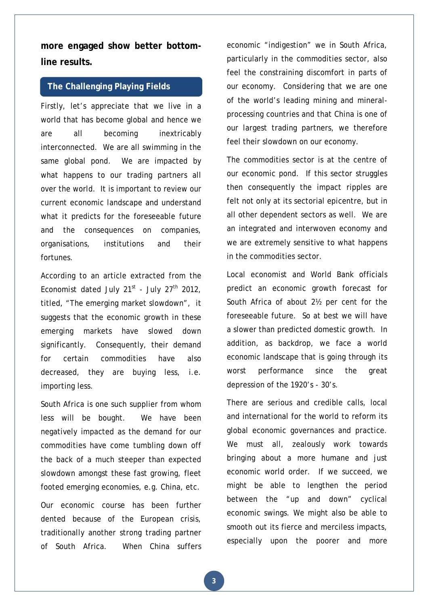**more engaged show better bottomline results.**

### **The Challenging Playing Fields**

Firstly, let's appreciate that we live in a world that has become global and hence we are all becoming inextricably interconnected. We are all swimming in the same global pond. We are impacted by what happens to our trading partners all over the world. It is important to review our current economic landscape and understand what it predicts for the foreseeable future and the consequences on companies, organisations, institutions and their fortunes.

According to an article extracted from the Economist dated July  $21^{st}$  - July  $27^{th}$  2012. titled, "The emerging market slowdown", it suggests that the economic growth in these emerging markets have slowed down significantly. Consequently, their demand for certain commodities have also decreased, they are buying less, i.e. importing less.

South Africa is one such supplier from whom less will be bought. We have been negatively impacted as the demand for our commodities have come tumbling down off the back of a much steeper than expected slowdown amongst these fast growing, fleet footed emerging economies, e.g. China, etc.

Our economic course has been further dented because of the European crisis, traditionally another strong trading partner of South Africa. When China suffers economic "indigestion" we in South Africa, particularly in the commodities sector, also feel the constraining discomfort in parts of our economy. Considering that we are one of the world's leading mining and mineralprocessing countries and that China is one of our largest trading partners, we therefore feel their slowdown on our economy.

The commodities sector is at the centre of our economic pond. If this sector struggles then consequently the impact ripples are felt not only at its sectorial epicentre, but in all other dependent sectors as well. We are an integrated and interwoven economy and we are extremely sensitive to what happens in the commodities sector.

Local economist and World Bank officials predict an economic growth forecast for South Africa of about 2½ per cent for the foreseeable future. So at best we will have a slower than predicted domestic growth. In addition, as backdrop, we face a world economic landscape that is going through its worst performance since the great depression of the 1920's - 30's.

There are serious and credible calls, local and international for the world to reform its global economic governances and practice. We must all, zealously work towards bringing about a more humane and just economic world order. If we succeed, we might be able to lengthen the period between the "up and down" cyclical economic swings. We might also be able to smooth out its fierce and merciless impacts, especially upon the poorer and more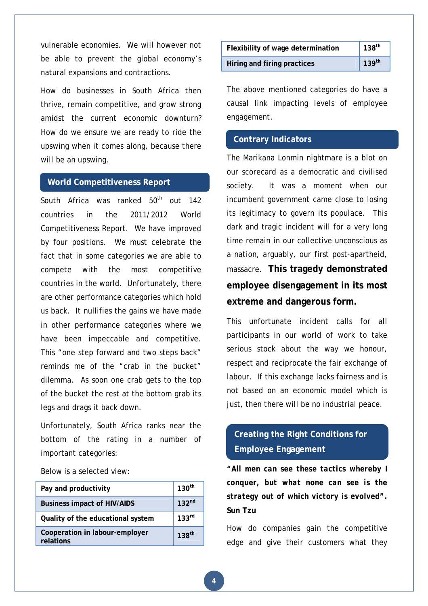vulnerable economies. We will however not be able to prevent the global economy's natural expansions and contractions.

How do businesses in South Africa then thrive, remain competitive, and grow strong amidst the current economic downturn? How do we ensure we are ready to ride the upswing when it comes along, because there will be an upswing.

#### **World Competitiveness Report**

South Africa was ranked  $50<sup>th</sup>$  out 142 countries in the 2011/2012 World Competitiveness Report. We have improved by four positions. We must celebrate the fact that in some categories we are able to compete with the most competitive countries in the world. Unfortunately, there are other performance categories which hold us back. It nullifies the gains we have made in other performance categories where we have been impeccable and competitive. This "one step forward and two steps back" reminds me of the "crab in the bucket" dilemma. As soon one crab gets to the top of the bucket the rest at the bottom grab its legs and drags it back down.

Unfortunately, South Africa ranks near the bottom of the rating in a number of important categories:

Below is a selected view:

| Pay and productivity                        | 130 <sup>th</sup> |
|---------------------------------------------|-------------------|
| <b>Business impact of HIV/AIDS</b>          | 132 <sup>nd</sup> |
| Quality of the educational system           | 133 <sup>rd</sup> |
| Cooperation in labour-employer<br>relations | 138 <sup>th</sup> |

| Flexibility of wage determination | $ 138^{\text{th}}$        |
|-----------------------------------|---------------------------|
| Hiring and firing practices       | $\vert$ 139 <sup>th</sup> |

The above mentioned categories do have a causal link impacting levels of employee engagement.

#### **Contrary Indicators**

The Marikana Lonmin nightmare is a blot on our scorecard as a democratic and civilised society. It was a moment when our incumbent government came close to losing its legitimacy to govern its populace. This dark and tragic incident will for a very long time remain in our collective unconscious as a nation, arguably, our first post-apartheid, massacre. **This tragedy demonstrated employee disengagement in its most extreme and dangerous form.** 

This unfortunate incident calls for all participants in our world of work to take serious stock about the way we honour, respect and reciprocate the fair exchange of labour. If this exchange lacks fairness and is not based on an economic model which is just, then there will be no industrial peace.

# **Creating the Right Conditions for Employee Engagement**

*"All men can see these tactics whereby I conquer, but what none can see is the strategy out of which victory is evolved".* **Sun Tzu** 

How do companies gain the competitive edge and give their customers what they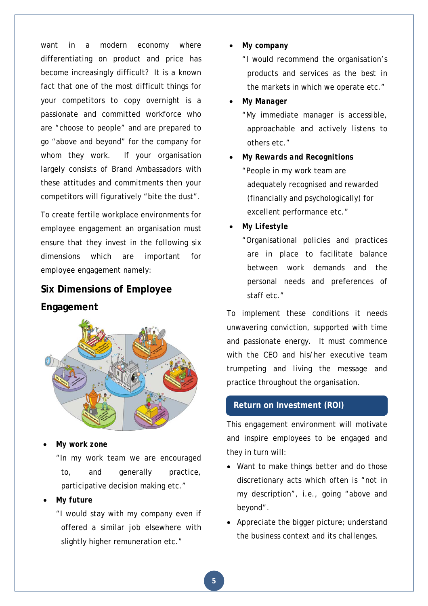want in a modern economy where differentiating on product and price has become increasingly difficult? It is a known fact that one of the most difficult things for your competitors to copy overnight is a passionate and committed workforce who are "choose to people" and are prepared to go "above and beyond" for the company for whom they work. If your organisation largely consists of Brand Ambassadors with these attitudes and commitments then your competitors will figuratively "bite the dust".

To create fertile workplace environments for employee engagement an organisation must ensure that they invest in the following six dimensions which are important for employee engagement namely:

# **Six Dimensions of Employee Engagement**



*My work zone* 

"In my work team we are encouraged to, and generally practice, participative decision making etc."

## *My future*

"I would stay with my company even if offered a similar job elsewhere with slightly higher remuneration etc."

*My company* 

"I would recommend the organisation's products and services as the best in the markets in which we operate etc."

#### *My Manager*

"My immediate manager is accessible, approachable and actively listens to others etc."

- *My Rewards and Recognitions*  "People in my work team are adequately recognised and rewarded (financially and psychologically) for excellent performance etc."
- *My Lifestyle*

"Organisational policies and practices are in place to facilitate balance between work demands and the personal needs and preferences of staff etc."

To implement these conditions it needs unwavering conviction, supported with time and passionate energy. It must commence with the CEO and his/her executive team trumpeting and living the message and practice throughout the organisation.

## **Return on Investment (ROI)**

This engagement environment will motivate and inspire employees to be engaged and they in turn will:

- Want to make things better and do those discretionary acts which often is "not in my description", i.e., going "above and beyond".
- Appreciate the bigger picture; understand the business context and its challenges.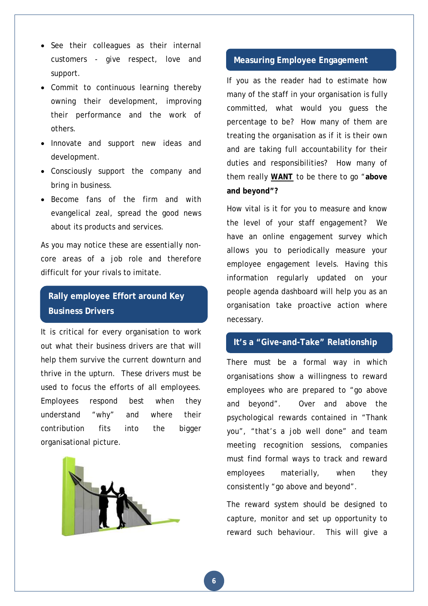- See their colleagues as their internal customers - give respect, love and support.
- Commit to continuous learning thereby owning their development, improving their performance and the work of others.
- Innovate and support new ideas and development.
- Consciously support the company and bring in business.
- Become fans of the firm and with evangelical zeal, spread the good news about its products and services.

As you may notice these are essentially noncore areas of a job role and therefore difficult for your rivals to imitate.

# **Rally employee Effort around Key Business Drivers**

It is critical for every organisation to work out what their business drivers are that will help them survive the current downturn and thrive in the upturn. These drivers must be used to focus the efforts of all employees. Employees respond best when they understand "why" and where their contribution fits into the bigger organisational picture.



# **Measuring Employee Engagement**

If you as the reader had to estimate how many of the staff in your organisation is fully committed, what would you guess the percentage to be? How many of them are treating the organisation as if it is their own and are taking full accountability for their duties and responsibilities? How many of them really *WANT* to be there to go "**above and beyond"?** 

How vital is it for you to measure and know the level of your staff engagement? We have an online engagement survey which allows you to periodically measure your employee engagement levels. Having this information regularly updated on your people agenda dashboard will help you as an organisation take proactive action where necessary.

#### **It's a "Give-and-Take" Relationship**

There must be a formal way in which organisations show a willingness to reward employees who are prepared to "go above and beyond". Over and above the psychological rewards contained in "Thank you", "that's a job well done" and team meeting recognition sessions, companies must find formal ways to track and reward employees materially, when they consistently "go above and beyond".

The reward system should be designed to capture, monitor and set up opportunity to reward such behaviour. This will give a